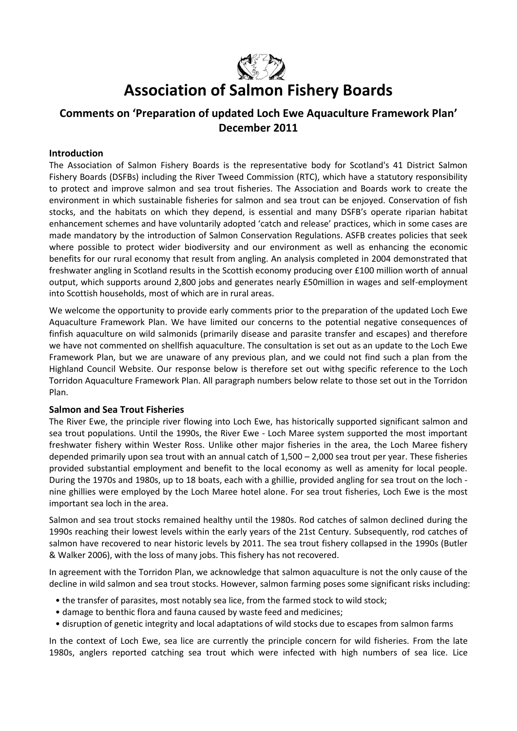

# **Association of Salmon Fishery Boards**

## **Comments on 'Preparation of updated Loch Ewe Aquaculture Framework Plan' December 2011**

#### **Introduction**

The Association of Salmon Fishery Boards is the representative body for Scotland's 41 District Salmon Fishery Boards (DSFBs) including the River Tweed Commission (RTC), which have a statutory responsibility to protect and improve salmon and sea trout fisheries. The Association and Boards work to create the environment in which sustainable fisheries for salmon and sea trout can be enjoyed. Conservation of fish stocks, and the habitats on which they depend, is essential and many DSFB's operate riparian habitat enhancement schemes and have voluntarily adopted 'catch and release' practices, which in some cases are made mandatory by the introduction of Salmon Conservation Regulations. ASFB creates policies that seek where possible to protect wider biodiversity and our environment as well as enhancing the economic benefits for our rural economy that result from angling. An analysis completed in 2004 demonstrated that freshwater angling in Scotland results in the Scottish economy producing over £100 million worth of annual output, which supports around 2,800 jobs and generates nearly £50million in wages and self-employment into Scottish households, most of which are in rural areas.

We welcome the opportunity to provide early comments prior to the preparation of the updated Loch Ewe Aquaculture Framework Plan. We have limited our concerns to the potential negative consequences of finfish aquaculture on wild salmonids (primarily disease and parasite transfer and escapes) and therefore we have not commented on shellfish aquaculture. The consultation is set out as an update to the Loch Ewe Framework Plan, but we are unaware of any previous plan, and we could not find such a plan from the Highland Council Website. Our response below is therefore set out withg specific reference to the Loch Torridon Aquaculture Framework Plan. All paragraph numbers below relate to those set out in the Torridon Plan.

#### **Salmon and Sea Trout Fisheries**

The River Ewe, the principle river flowing into Loch Ewe, has historically supported significant salmon and sea trout populations. Until the 1990s, the River Ewe - Loch Maree system supported the most important freshwater fishery within Wester Ross. Unlike other major fisheries in the area, the Loch Maree fishery depended primarily upon sea trout with an annual catch of 1,500 – 2,000 sea trout per year. These fisheries provided substantial employment and benefit to the local economy as well as amenity for local people. During the 1970s and 1980s, up to 18 boats, each with a ghillie, provided angling for sea trout on the loch nine ghillies were employed by the Loch Maree hotel alone. For sea trout fisheries, Loch Ewe is the most important sea loch in the area.

Salmon and sea trout stocks remained healthy until the 1980s. Rod catches of salmon declined during the 1990s reaching their lowest levels within the early years of the 21st Century. Subsequently, rod catches of salmon have recovered to near historic levels by 2011. The sea trout fishery collapsed in the 1990s (Butler & Walker 2006), with the loss of many jobs. This fishery has not recovered.

In agreement with the Torridon Plan, we acknowledge that salmon aquaculture is not the only cause of the decline in wild salmon and sea trout stocks. However, salmon farming poses some significant risks including:

- the transfer of parasites, most notably sea lice, from the farmed stock to wild stock;
- damage to benthic flora and fauna caused by waste feed and medicines;
- disruption of genetic integrity and local adaptations of wild stocks due to escapes from salmon farms

In the context of Loch Ewe, sea lice are currently the principle concern for wild fisheries. From the late 1980s, anglers reported catching sea trout which were infected with high numbers of sea lice. Lice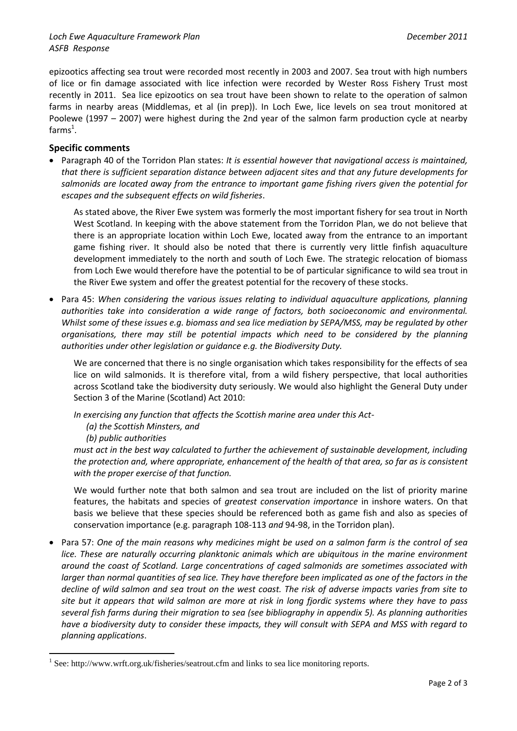epizootics affecting sea trout were recorded most recently in 2003 and 2007. Sea trout with high numbers of lice or fin damage associated with lice infection were recorded by Wester Ross Fishery Trust most recently in 2011. Sea lice epizootics on sea trout have been shown to relate to the operation of salmon farms in nearby areas (Middlemas, et al (in prep)). In Loch Ewe, lice levels on sea trout monitored at Poolewe (1997 – 2007) were highest during the 2nd year of the salmon farm production cycle at nearby farms $^1$ .

### **Specific comments**

 Paragraph 40 of the Torridon Plan states: *It is essential however that navigational access is maintained, that there is sufficient separation distance between adjacent sites and that any future developments for salmonids are located away from the entrance to important game fishing rivers given the potential for escapes and the subsequent effects on wild fisheries*.

As stated above, the River Ewe system was formerly the most important fishery for sea trout in North West Scotland. In keeping with the above statement from the Torridon Plan, we do not believe that there is an appropriate location within Loch Ewe, located away from the entrance to an important game fishing river. It should also be noted that there is currently very little finfish aquaculture development immediately to the north and south of Loch Ewe. The strategic relocation of biomass from Loch Ewe would therefore have the potential to be of particular significance to wild sea trout in the River Ewe system and offer the greatest potential for the recovery of these stocks.

 Para 45: *When considering the various issues relating to individual aquaculture applications, planning authorities take into consideration a wide range of factors, both socioeconomic and environmental. Whilst some of these issues e.g. biomass and sea lice mediation by SEPA/MSS, may be regulated by other organisations, there may still be potential impacts which need to be considered by the planning authorities under other legislation or guidance e.g. the Biodiversity Duty.*

We are concerned that there is no single organisation which takes responsibility for the effects of sea lice on wild salmonids. It is therefore vital, from a wild fishery perspective, that local authorities across Scotland take the biodiversity duty seriously. We would also highlight the General Duty under Section 3 of the Marine (Scotland) Act 2010:

*In exercising any function that affects the Scottish marine area under this Act-*

*(a) the Scottish Minsters, and*

*(b) public authorities*

1

*must act in the best way calculated to further the achievement of sustainable development, including the protection and, where appropriate, enhancement of the health of that area, so far as is consistent with the proper exercise of that function.*

We would further note that both salmon and sea trout are included on the list of priority marine features, the habitats and species of *greatest conservation importance* in inshore waters. On that basis we believe that these species should be referenced both as game fish and also as species of conservation importance (e.g. paragraph 108-113 *and* 94-98, in the Torridon plan).

 Para 57: *One of the main reasons why medicines might be used on a salmon farm is the control of sea*  lice. These are naturally occurring planktonic animals which are ubiquitous in the marine environment *around the coast of Scotland. Large concentrations of caged salmonids are sometimes associated with larger than normal quantities of sea lice. They have therefore been implicated as one of the factors in the decline of wild salmon and sea trout on the west coast. The risk of adverse impacts varies from site to site but it appears that wild salmon are more at risk in long fjordic systems where they have to pass several fish farms during their migration to sea (see bibliography in appendix 5). As planning authorities have a biodiversity duty to consider these impacts, they will consult with SEPA and MSS with regard to planning applications*.

<sup>&</sup>lt;sup>1</sup> See: http://www.wrft.org.uk/fisheries/seatrout.cfm and links to sea lice monitoring reports.